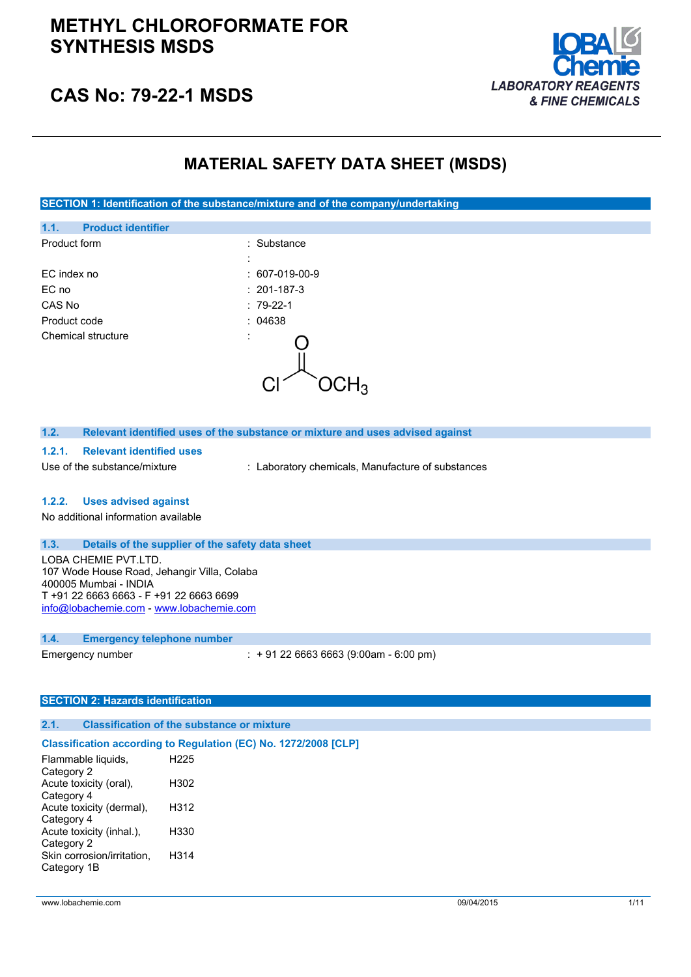

# **CAS No: 79-22-1 MSDS**

# **MATERIAL SAFETY DATA SHEET (MSDS)**

**SECTION 1: Identification of the substance/mixture and of the company/undertaking**

| 1.1.               | <b>Product identifier</b> |                   |  |
|--------------------|---------------------------|-------------------|--|
| Product form       |                           | : Substance       |  |
|                    |                           | ٠                 |  |
| EC index no        |                           | $: 607-019-00-9$  |  |
| EC no              |                           | $: 201 - 187 - 3$ |  |
| CAS No             |                           | $:79-22-1$        |  |
| Product code       |                           | : 04638           |  |
| Chemical structure |                           | ٠<br>ï            |  |
|                    |                           |                   |  |
|                    |                           |                   |  |

| 1.2.                                        | Relevant identified uses of the substance or mixture and uses advised against |                                                   |
|---------------------------------------------|-------------------------------------------------------------------------------|---------------------------------------------------|
| 1.2.1.                                      | <b>Relevant identified uses</b>                                               |                                                   |
|                                             | Use of the substance/mixture                                                  | : Laboratory chemicals, Manufacture of substances |
|                                             |                                                                               |                                                   |
| 1.2.2.                                      | <b>Uses advised against</b>                                                   |                                                   |
|                                             | No additional information available                                           |                                                   |
|                                             |                                                                               |                                                   |
| 1.3.                                        | Details of the supplier of the safety data sheet                              |                                                   |
| LOBA CHEMIE PVT.LTD.                        |                                                                               |                                                   |
| 107 Wode House Road, Jehangir Villa, Colaba |                                                                               |                                                   |
| 400005 Mumbai - INDIA                       |                                                                               |                                                   |
| T +91 22 6663 6663 - F +91 22 6663 6699     |                                                                               |                                                   |
|                                             | info@lobachemie.com - www.lobachemie.com                                      |                                                   |
|                                             |                                                                               |                                                   |

## **1.4. Emergency telephone number**

| Emergency number | $: +912266636663(9:00am - 6:00 pm)$ |
|------------------|-------------------------------------|
|------------------|-------------------------------------|

#### **SECTION 2: Hazards identification**

### **2.1. Classification of the substance or mixture**

## **Classification according to Regulation (EC) No. 1272/2008 [CLP]**

| Flammable liquids,         | H <sub>225</sub> |
|----------------------------|------------------|
| Category 2                 |                  |
| Acute toxicity (oral),     | H302             |
| Category 4                 |                  |
| Acute toxicity (dermal),   | H312             |
| Category 4                 |                  |
| Acute toxicity (inhal.),   | H330             |
| Category 2                 |                  |
| Skin corrosion/irritation, | H314             |
| Category 1B                |                  |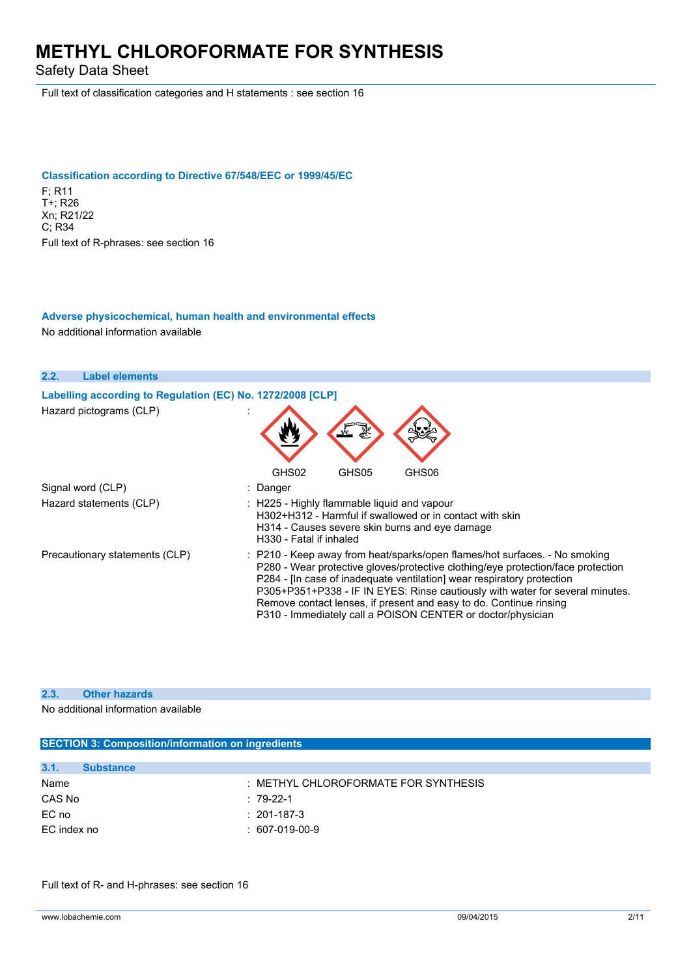Safety Data Sheet

Full text of classification categories and H statements : see section 16

## **Classification according to Directive 67/548/EEC or 1999/45/EC** F; R11 T+; R26 Xn; R21/22 C; R34 Full text of R-phrases: see section 16

## **Adverse physicochemical, human health and environmental effects**

No additional information available

| 2.2.<br><b>Label elements</b>                              |                                                                                                                                                                                                                                                                                                                                                                                                                                                                |
|------------------------------------------------------------|----------------------------------------------------------------------------------------------------------------------------------------------------------------------------------------------------------------------------------------------------------------------------------------------------------------------------------------------------------------------------------------------------------------------------------------------------------------|
| Labelling according to Regulation (EC) No. 1272/2008 [CLP] |                                                                                                                                                                                                                                                                                                                                                                                                                                                                |
| Hazard pictograms (CLP)                                    |                                                                                                                                                                                                                                                                                                                                                                                                                                                                |
|                                                            | GHS02<br>GHS06<br>GHS05                                                                                                                                                                                                                                                                                                                                                                                                                                        |
| Signal word (CLP)                                          | : Danger                                                                                                                                                                                                                                                                                                                                                                                                                                                       |
| Hazard statements (CLP)                                    | $\therefore$ H225 - Highly flammable liguid and vapour<br>H302+H312 - Harmful if swallowed or in contact with skin<br>H314 - Causes severe skin burns and eye damage<br>H330 - Fatal if inhaled                                                                                                                                                                                                                                                                |
| Precautionary statements (CLP)                             | : P210 - Keep away from heat/sparks/open flames/hot surfaces. - No smoking<br>P280 - Wear protective gloves/protective clothing/eye protection/face protection<br>P284 - [In case of inadequate ventilation] wear respiratory protection<br>P305+P351+P338 - IF IN EYES: Rinse cautiously with water for several minutes.<br>Remove contact lenses, if present and easy to do. Continue rinsing<br>P310 - Immediately call a POISON CENTER or doctor/physician |

# **2.3. Other hazards**

No additional information available

**SECTION 3: Composition/information on ingredients**

| <b>SECTION 3: COMPOSITION/INIONITATION ON INGLESITIS</b> |                  |                                      |
|----------------------------------------------------------|------------------|--------------------------------------|
|                                                          |                  |                                      |
| 3.1.                                                     | <b>Substance</b> |                                      |
| Name                                                     |                  | : METHYL CHLOROFORMATE FOR SYNTHESIS |
| CAS No                                                   |                  | $:79-22-1$                           |
| EC no                                                    |                  | $: 201 - 187 - 3$                    |
| EC index no                                              |                  | $: 607-019-00-9$                     |
|                                                          |                  |                                      |

Full text of R- and H-phrases: see section 16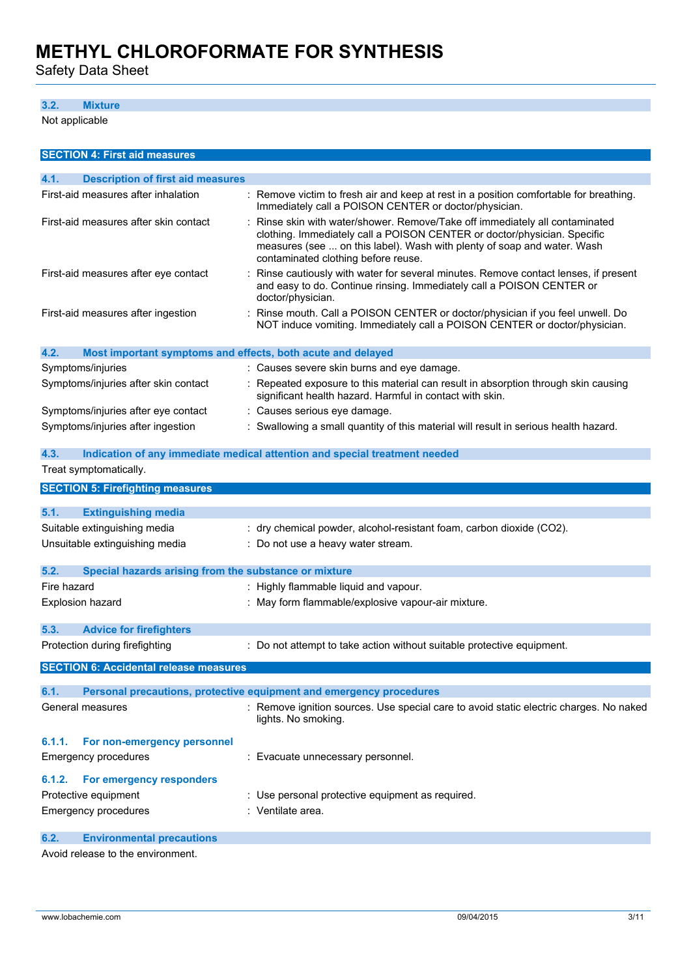Safety Data Sheet

# **3.2. Mixture**

Not applicable

| <b>SECTION 4: First aid measures</b>                                |                                                                                                                                                                                                                                                                          |
|---------------------------------------------------------------------|--------------------------------------------------------------------------------------------------------------------------------------------------------------------------------------------------------------------------------------------------------------------------|
| 4.1.<br><b>Description of first aid measures</b>                    |                                                                                                                                                                                                                                                                          |
| First-aid measures after inhalation                                 | : Remove victim to fresh air and keep at rest in a position comfortable for breathing.<br>Immediately call a POISON CENTER or doctor/physician.                                                                                                                          |
| First-aid measures after skin contact                               | Rinse skin with water/shower. Remove/Take off immediately all contaminated<br>clothing. Immediately call a POISON CENTER or doctor/physician. Specific<br>measures (see  on this label). Wash with plenty of soap and water. Wash<br>contaminated clothing before reuse. |
| First-aid measures after eye contact                                | Rinse cautiously with water for several minutes. Remove contact lenses, if present<br>and easy to do. Continue rinsing. Immediately call a POISON CENTER or<br>doctor/physician.                                                                                         |
| First-aid measures after ingestion                                  | Rinse mouth. Call a POISON CENTER or doctor/physician if you feel unwell. Do<br>NOT induce vomiting. Immediately call a POISON CENTER or doctor/physician.                                                                                                               |
| 4.2.<br>Most important symptoms and effects, both acute and delayed |                                                                                                                                                                                                                                                                          |
| Symptoms/injuries                                                   | : Causes severe skin burns and eye damage.                                                                                                                                                                                                                               |
| Symptoms/injuries after skin contact                                | Repeated exposure to this material can result in absorption through skin causing<br>significant health hazard. Harmful in contact with skin.                                                                                                                             |
| Symptoms/injuries after eye contact                                 | : Causes serious eye damage.                                                                                                                                                                                                                                             |
| Symptoms/injuries after ingestion                                   | Swallowing a small quantity of this material will result in serious health hazard.                                                                                                                                                                                       |
| 4.3.                                                                | Indication of any immediate medical attention and special treatment needed                                                                                                                                                                                               |
| Treat symptomatically.                                              |                                                                                                                                                                                                                                                                          |
| <b>SECTION 5: Firefighting measures</b>                             |                                                                                                                                                                                                                                                                          |
| 5.1.<br><b>Extinguishing media</b>                                  |                                                                                                                                                                                                                                                                          |
| Suitable extinguishing media<br>Unsuitable extinguishing media      | : dry chemical powder, alcohol-resistant foam, carbon dioxide (CO2).<br>Do not use a heavy water stream.                                                                                                                                                                 |
| 5.2.<br>Special hazards arising from the substance or mixture       |                                                                                                                                                                                                                                                                          |
| Fire hazard                                                         | : Highly flammable liquid and vapour.                                                                                                                                                                                                                                    |
| Explosion hazard                                                    | May form flammable/explosive vapour-air mixture.                                                                                                                                                                                                                         |
| 5.3.<br><b>Advice for firefighters</b>                              |                                                                                                                                                                                                                                                                          |
| Protection during firefighting                                      | : Do not attempt to take action without suitable protective equipment.                                                                                                                                                                                                   |
| <b>SECTION 6: Accidental release measures</b>                       |                                                                                                                                                                                                                                                                          |
| 6.1.                                                                | Personal precautions, protective equipment and emergency procedures                                                                                                                                                                                                      |
| General measures                                                    | : Remove ignition sources. Use special care to avoid static electric charges. No naked<br>lights. No smoking.                                                                                                                                                            |
| 6.1.1.<br>For non-emergency personnel                               |                                                                                                                                                                                                                                                                          |
| <b>Emergency procedures</b>                                         | Evacuate unnecessary personnel.                                                                                                                                                                                                                                          |
| 6.1.2.<br>For emergency responders                                  |                                                                                                                                                                                                                                                                          |
| Protective equipment                                                | : Use personal protective equipment as required.                                                                                                                                                                                                                         |
| Emergency procedures                                                | : Ventilate area.                                                                                                                                                                                                                                                        |
| 6.2.<br><b>Environmental precautions</b>                            |                                                                                                                                                                                                                                                                          |

Avoid release to the environment.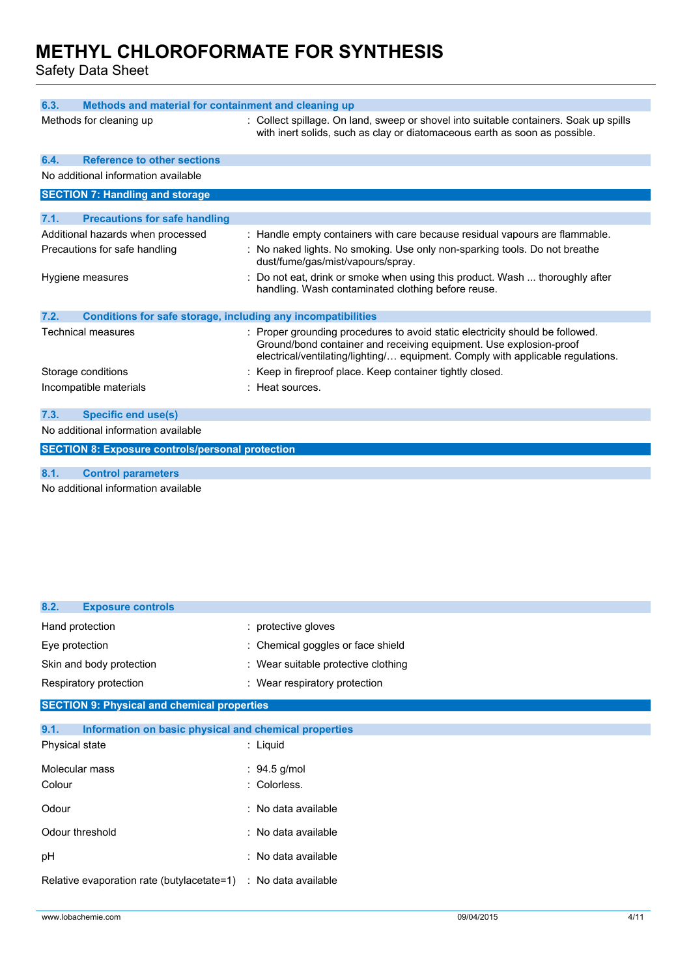Safety Data Sheet

| 6.3.                                                                 | Methods and material for containment and cleaning up                                                                                                                                                                                   |  |  |
|----------------------------------------------------------------------|----------------------------------------------------------------------------------------------------------------------------------------------------------------------------------------------------------------------------------------|--|--|
| Methods for cleaning up                                              | : Collect spillage. On land, sweep or shovel into suitable containers. Soak up spills<br>with inert solids, such as clay or diatomaceous earth as soon as possible.                                                                    |  |  |
| <b>Reference to other sections</b><br>6.4.                           |                                                                                                                                                                                                                                        |  |  |
| No additional information available                                  |                                                                                                                                                                                                                                        |  |  |
| <b>SECTION 7: Handling and storage</b>                               |                                                                                                                                                                                                                                        |  |  |
| 7.1.<br><b>Precautions for safe handling</b>                         |                                                                                                                                                                                                                                        |  |  |
| Additional hazards when processed                                    | : Handle empty containers with care because residual vapours are flammable.                                                                                                                                                            |  |  |
| Precautions for safe handling                                        | : No naked lights. No smoking. Use only non-sparking tools. Do not breathe<br>dust/fume/gas/mist/vapours/spray.                                                                                                                        |  |  |
| Hygiene measures                                                     | Do not eat, drink or smoke when using this product. Wash  thoroughly after<br>handling. Wash contaminated clothing before reuse.                                                                                                       |  |  |
| Conditions for safe storage, including any incompatibilities<br>7.2. |                                                                                                                                                                                                                                        |  |  |
| <b>Technical measures</b>                                            | : Proper grounding procedures to avoid static electricity should be followed.<br>Ground/bond container and receiving equipment. Use explosion-proof<br>electrical/ventilating/lighting/ equipment. Comply with applicable regulations. |  |  |
| Storage conditions                                                   | : Keep in fireproof place. Keep container tightly closed.                                                                                                                                                                              |  |  |
| Incompatible materials                                               | : Heat sources.                                                                                                                                                                                                                        |  |  |
| <b>Specific end use(s)</b><br>7.3.                                   |                                                                                                                                                                                                                                        |  |  |
| No additional information available                                  |                                                                                                                                                                                                                                        |  |  |
|                                                                      |                                                                                                                                                                                                                                        |  |  |
| <b>SECTION 8: Exposure controls/personal protection</b>              |                                                                                                                                                                                                                                        |  |  |
| 8.1.<br><b>Control parameters</b>                                    |                                                                                                                                                                                                                                        |  |  |
| No additional information available                                  |                                                                                                                                                                                                                                        |  |  |

| 8.2.<br><b>Exposure controls</b>                              |                                     |
|---------------------------------------------------------------|-------------------------------------|
| Hand protection                                               | : protective gloves                 |
| Eye protection                                                | : Chemical goggles or face shield   |
| Skin and body protection                                      | : Wear suitable protective clothing |
| Respiratory protection                                        | : Wear respiratory protection       |
| <b>SECTION 9: Physical and chemical properties</b>            |                                     |
| 9.1.<br>Information on basic physical and chemical properties |                                     |
| Physical state                                                | : Liquid                            |
| Molecular mass                                                | $: 94.5$ g/mol                      |
| Colour                                                        | : Colorless.                        |
| Odour                                                         | : No data available                 |
| Odour threshold                                               | : No data available                 |
| pH                                                            | : No data available                 |
| Relative evaporation rate (butylacetate=1)                    | : No data available                 |
|                                                               |                                     |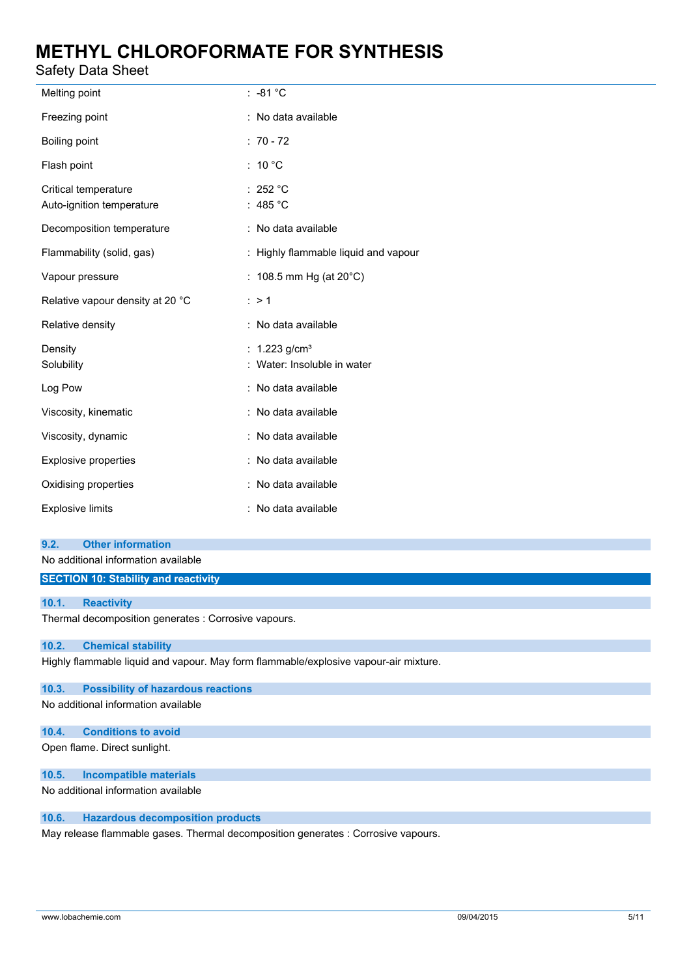Safety Data Sheet

| Melting point                                     | $: -81 °C$                                                 |
|---------------------------------------------------|------------------------------------------------------------|
| Freezing point                                    | : No data available                                        |
| Boiling point                                     | $: 70 - 72$                                                |
| Flash point                                       | : 10 $^{\circ}$ C                                          |
| Critical temperature<br>Auto-ignition temperature | : 252 °C<br>: 485 $^{\circ}$ C                             |
| Decomposition temperature                         | : No data available                                        |
| Flammability (solid, gas)                         | : Highly flammable liquid and vapour                       |
| Vapour pressure                                   | : 108.5 mm Hg (at $20^{\circ}$ C)                          |
| Relative vapour density at 20 °C                  | : > 1                                                      |
| Relative density                                  | : No data available                                        |
| Density<br>Solubility                             | : $1.223$ g/cm <sup>3</sup><br>: Water: Insoluble in water |
| Log Pow                                           | : No data available                                        |
| Viscosity, kinematic                              | : No data available                                        |
| Viscosity, dynamic                                | : No data available                                        |
| Explosive properties                              | : No data available                                        |
| Oxidising properties                              | : No data available                                        |
| <b>Explosive limits</b>                           | : No data available                                        |

## **9.2. Other information**

No additional information available

**SECTION 10: Stability and reactivity**

## **10.1. Reactivity**

Thermal decomposition generates : Corrosive vapours.

## **10.2. Chemical stability**

Highly flammable liquid and vapour. May form flammable/explosive vapour-air mixture.

## **10.3. Possibility of hazardous reactions**

No additional information available

# **10.4. Conditions to avoid**

Open flame. Direct sunlight.

## **10.5. Incompatible materials**

No additional information available

## **10.6. Hazardous decomposition products**

May release flammable gases. Thermal decomposition generates : Corrosive vapours.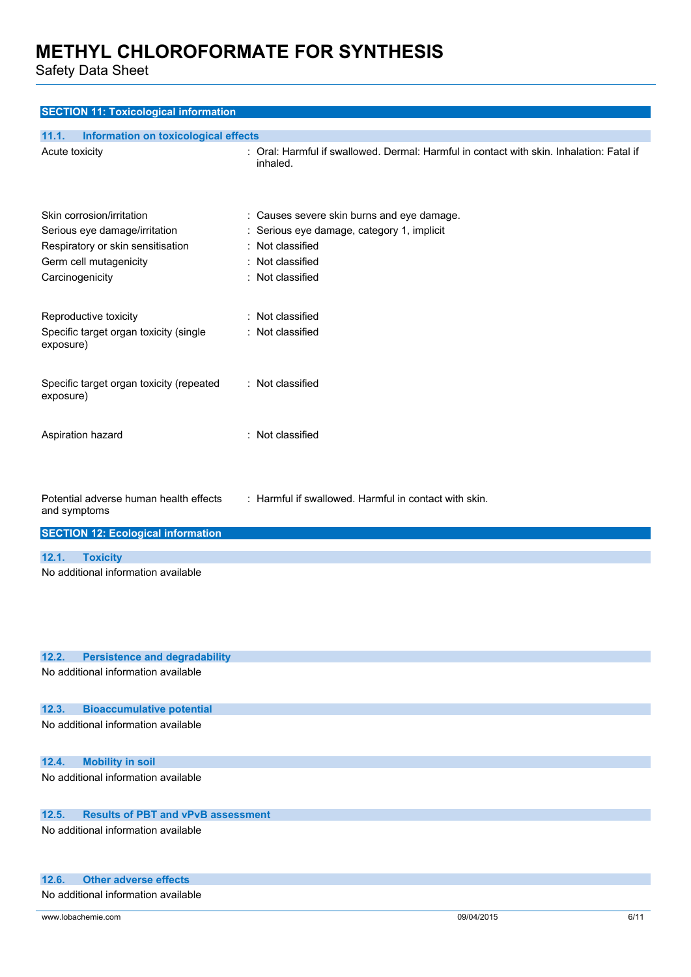Safety Data Sheet

| <b>SECTION 11: Toxicological information</b>                                                                                                 |                                                                                                                                                    |  |
|----------------------------------------------------------------------------------------------------------------------------------------------|----------------------------------------------------------------------------------------------------------------------------------------------------|--|
| 11.1.<br>Information on toxicological effects                                                                                                |                                                                                                                                                    |  |
| Acute toxicity                                                                                                                               | : Oral: Harmful if swallowed. Dermal: Harmful in contact with skin. Inhalation: Fatal if<br>inhaled.                                               |  |
| Skin corrosion/irritation<br>Serious eye damage/irritation<br>Respiratory or skin sensitisation<br>Germ cell mutagenicity<br>Carcinogenicity | : Causes severe skin burns and eye damage.<br>Serious eye damage, category 1, implicit<br>: Not classified<br>: Not classified<br>: Not classified |  |
| Reproductive toxicity<br>Specific target organ toxicity (single<br>exposure)                                                                 | : Not classified<br>: Not classified                                                                                                               |  |
| Specific target organ toxicity (repeated<br>exposure)                                                                                        | : Not classified                                                                                                                                   |  |
| Aspiration hazard                                                                                                                            | : Not classified                                                                                                                                   |  |
| Potential adverse human health effects<br>and symptoms                                                                                       | : Harmful if swallowed. Harmful in contact with skin.                                                                                              |  |
| <b>SECTION 12: Ecological information</b>                                                                                                    |                                                                                                                                                    |  |
| 12.1.<br><b>Toxicity</b>                                                                                                                     |                                                                                                                                                    |  |
| No additional information available                                                                                                          |                                                                                                                                                    |  |
| 12.2.<br><b>Persistence and degradability</b>                                                                                                |                                                                                                                                                    |  |
| No additional information available                                                                                                          |                                                                                                                                                    |  |
| 12.3.<br><b>Bioaccumulative potential</b>                                                                                                    |                                                                                                                                                    |  |
| No additional information available                                                                                                          |                                                                                                                                                    |  |
| 12.4.<br><b>Mobility in soil</b>                                                                                                             |                                                                                                                                                    |  |
| No additional information available                                                                                                          |                                                                                                                                                    |  |
| 12.5.<br><b>Results of PBT and vPvB assessment</b>                                                                                           |                                                                                                                                                    |  |
| No additional information available                                                                                                          |                                                                                                                                                    |  |

### **12.6. Other adverse effects**

No additional information available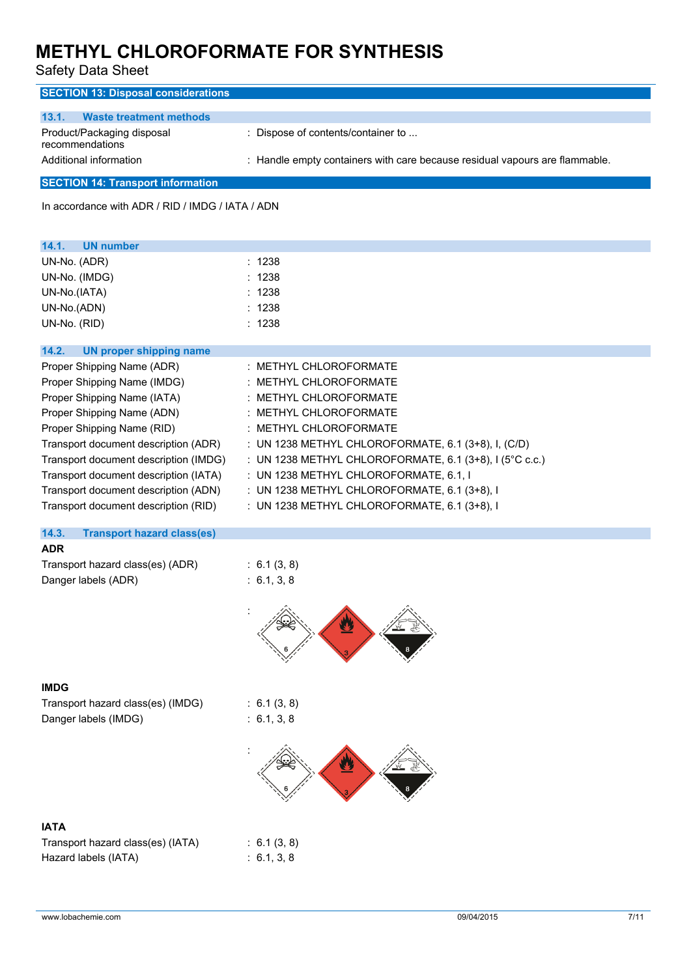Safety Data Sheet

| <b>SECTION 13: Disposal considerations</b>    |                                                                             |  |  |
|-----------------------------------------------|-----------------------------------------------------------------------------|--|--|
| 13.1.<br>Waste treatment methods              |                                                                             |  |  |
| Product/Packaging disposal<br>recommendations | : Dispose of contents/container to                                          |  |  |
| Additional information                        | : Handle empty containers with care because residual vapours are flammable. |  |  |
| <b>SECTION 14: Transport information</b>      |                                                                             |  |  |

In accordance with ADR / RID / IMDG / IATA / ADN

| 14.1.<br><b>UN number</b>                  |                                                           |
|--------------------------------------------|-----------------------------------------------------------|
| UN-No. (ADR)                               | : 1238                                                    |
| UN-No. (IMDG)                              | : 1238                                                    |
| UN-No.(IATA)                               | : 1238                                                    |
| UN-No.(ADN)                                | : 1238                                                    |
| UN-No. (RID)                               | : 1238                                                    |
| 14.2.<br><b>UN proper shipping name</b>    |                                                           |
| Proper Shipping Name (ADR)                 | : METHYL CHLOROFORMATE                                    |
| Proper Shipping Name (IMDG)                | : METHYL CHLOROFORMATE                                    |
| Proper Shipping Name (IATA)                | : METHYL CHLOROFORMATE                                    |
| Proper Shipping Name (ADN)                 | : METHYL CHLOROFORMATE                                    |
| Proper Shipping Name (RID)                 | : METHYL CHLOROFORMATE                                    |
| Transport document description (ADR)       | : UN 1238 METHYL CHLOROFORMATE, 6.1 (3+8), I, (C/D)       |
| Transport document description (IMDG)      | : UN 1238 METHYL CHLOROFORMATE, 6.1 (3+8), $I$ (5°C c.c.) |
| Transport document description (IATA)      | : UN 1238 METHYL CHLOROFORMATE, 6.1, I                    |
| Transport document description (ADN)       | : UN 1238 METHYL CHLOROFORMATE, 6.1 (3+8), I              |
| Transport document description (RID)       | : UN 1238 METHYL CHLOROFORMATE, 6.1 (3+8), I              |
| 14.3.<br><b>Transport hazard class(es)</b> |                                                           |
| <b>ADR</b>                                 |                                                           |
| Transport hazard class(es) (ADR)           | : 6.1(3, 8)                                               |
| Danger labels (ADR)                        | : 6.1, 3, 8                                               |
|                                            | ∥≪                                                        |

## **IMDG**

Transport hazard class(es) (IMDG) : 6.1 (3, 8) Danger labels (IMDG) : 6.1, 3, 8

 $: 6.1 (3, 8)$  $: 6.1, 3, 8$ 



# **IATA**

| Transport hazard class(es) (IATA) |  |
|-----------------------------------|--|
| Hazard labels (IATA)              |  |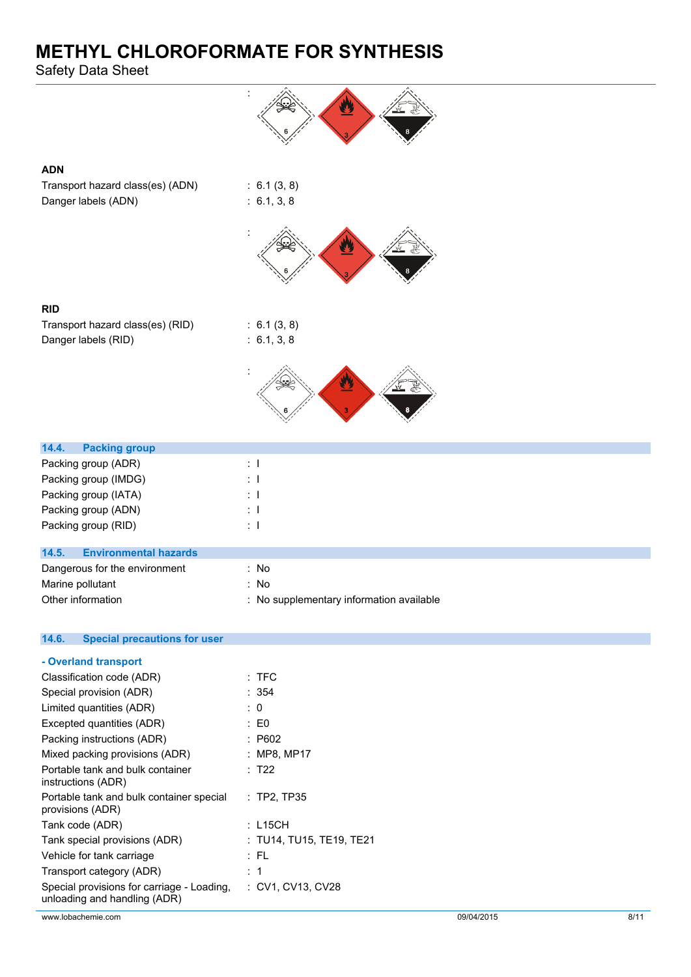Safety Data Sheet

| <b>ADN</b>                                   |                                          |
|----------------------------------------------|------------------------------------------|
| Transport hazard class(es) (ADN)             | : 6.1(3, 8)                              |
| Danger labels (ADN)                          | : 6.1, 3, 8                              |
|                                              |                                          |
| <b>RID</b>                                   |                                          |
| Transport hazard class(es) (RID)             | : 6.1(3, 8)                              |
| Danger labels (RID)                          | : 6.1, 3, 8                              |
|                                              |                                          |
| 14.4.<br><b>Packing group</b>                |                                          |
| Packing group (ADR)                          | $\pm$ 1                                  |
| Packing group (IMDG)                         | $\pm$ 1                                  |
| Packing group (IATA)                         | : T                                      |
| Packing group (ADN)                          | $\pm$ 1                                  |
| Packing group (RID)                          | $\pm$ 1                                  |
| 14.5.<br><b>Environmental hazards</b>        |                                          |
| Dangerous for the environment                | : No                                     |
| Marine pollutant                             | : No                                     |
| Other information                            | : No supplementary information available |
| <b>Special precautions for user</b><br>14.6. |                                          |

| - Overland transport                                                       |                                 |
|----------------------------------------------------------------------------|---------------------------------|
| Classification code (ADR)                                                  | $:$ TFC                         |
| Special provision (ADR)                                                    | : 354                           |
| Limited quantities (ADR)                                                   | : 0                             |
| Excepted quantities (ADR)                                                  | $\pm 50$                        |
| Packing instructions (ADR)                                                 | : P602                          |
| Mixed packing provisions (ADR)                                             | : MP8, MP17                     |
| Portable tank and bulk container<br>instructions (ADR)                     | : T22                           |
| Portable tank and bulk container special<br>provisions (ADR)               | $:$ TP2, TP35                   |
| Tank code (ADR)                                                            | : L15CH                         |
| Tank special provisions (ADR)                                              | $:$ TU14, TU15, TE19, TE21 $\:$ |
| Vehicle for tank carriage                                                  | : FL                            |
| Transport category (ADR)                                                   | :1                              |
| Special provisions for carriage - Loading,<br>unloading and handling (ADR) | : CV1, CV13, CV28               |
|                                                                            |                                 |

www.lobachemie.com 09/04/2015 8/11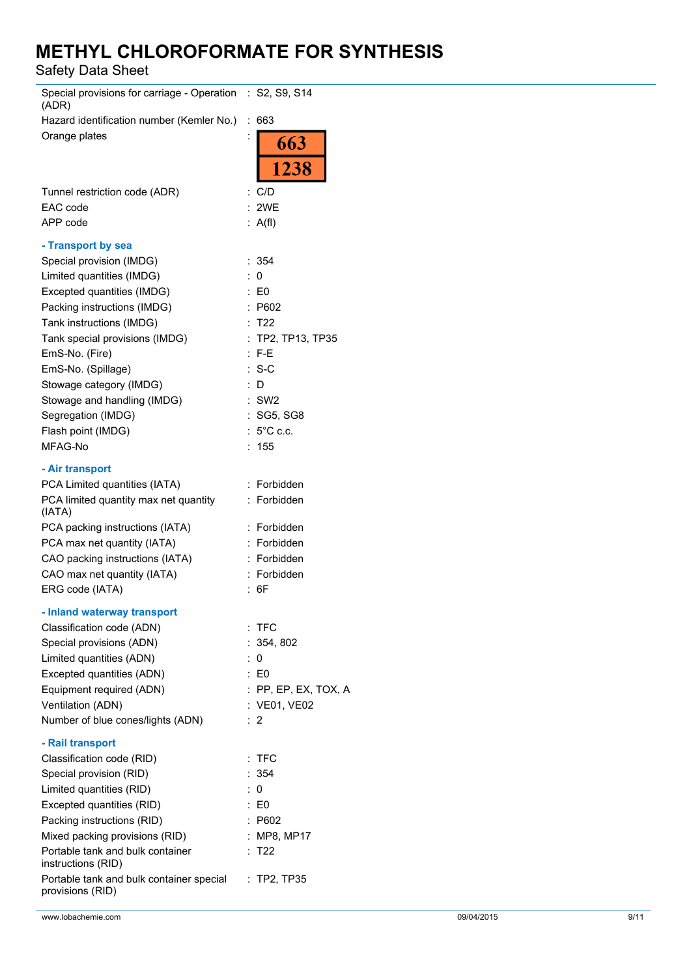Safety Data Sheet

| Special provisions for carriage - Operation : S2, S9, S14<br>(ADR) |   |                      |
|--------------------------------------------------------------------|---|----------------------|
| Hazard identification number (Kemler No.)                          | ÷ | 663                  |
| Orange plates                                                      |   | 663                  |
|                                                                    |   | 1238                 |
| Tunnel restriction code (ADR)                                      |   | : C/D                |
| EAC code                                                           |   | : 2WE                |
| APP code                                                           |   | : $A(f)$             |
| - Transport by sea                                                 |   |                      |
| Special provision (IMDG)                                           |   | : 354                |
| Limited quantities (IMDG)                                          |   | : 0                  |
| Excepted quantities (IMDG)                                         |   | : E0                 |
| Packing instructions (IMDG)                                        |   | : P602               |
| Tank instructions (IMDG)                                           |   | : T22                |
| Tank special provisions (IMDG)                                     |   | $:$ TP2, TP13, TP35  |
| EmS-No. (Fire)                                                     |   | $: F-E$              |
| EmS-No. (Spillage)                                                 |   | $: S-C$              |
| Stowage category (IMDG)                                            |   | : D                  |
| Stowage and handling (IMDG)                                        |   | :SW2                 |
| Segregation (IMDG)                                                 |   | : SG5, SG8           |
| Flash point (IMDG)                                                 |   | : $5^{\circ}$ C c.c. |
| MFAG-No                                                            |   | 155                  |
|                                                                    |   |                      |
| - Air transport                                                    |   |                      |
| PCA Limited quantities (IATA)                                      |   | : Forbidden          |
| PCA limited quantity max net quantity<br>(IATA)                    |   | : Forbidden          |
| PCA packing instructions (IATA)                                    |   | : Forbidden          |
| PCA max net quantity (IATA)                                        |   | : Forbidden          |
| CAO packing instructions (IATA)                                    |   | : Forbidden          |
| CAO max net quantity (IATA)                                        |   | : Forbidden          |
| ERG code (IATA)                                                    |   | : 6F                 |
| - Inland waterway transport                                        |   |                      |
| Classification code (ADN)                                          |   | $:$ TFC              |
| Special provisions (ADN)                                           |   | : 354, 802           |
| Limited quantities (ADN)                                           |   | : 0                  |
| Excepted quantities (ADN)                                          |   | $\therefore$ EO      |
| Equipment required (ADN)                                           |   | : PP, EP, EX, TOX, A |
| Ventilation (ADN)                                                  |   | : VE01, VE02         |
| Number of blue cones/lights (ADN)                                  |   | : 2                  |
| - Rail transport                                                   |   |                      |
| Classification code (RID)                                          |   | $:$ TFC              |
| Special provision (RID)                                            |   | : 354                |
| Limited quantities (RID)                                           |   | : 0                  |
| Excepted quantities (RID)                                          |   | : E0                 |
| Packing instructions (RID)                                         |   | : P602               |
| Mixed packing provisions (RID)                                     |   | : MP8, MP17          |
| Portable tank and bulk container                                   |   | : T22                |
| instructions (RID)                                                 |   |                      |
| Portable tank and bulk container special<br>provisions (RID)       |   | $:$ TP2, TP35        |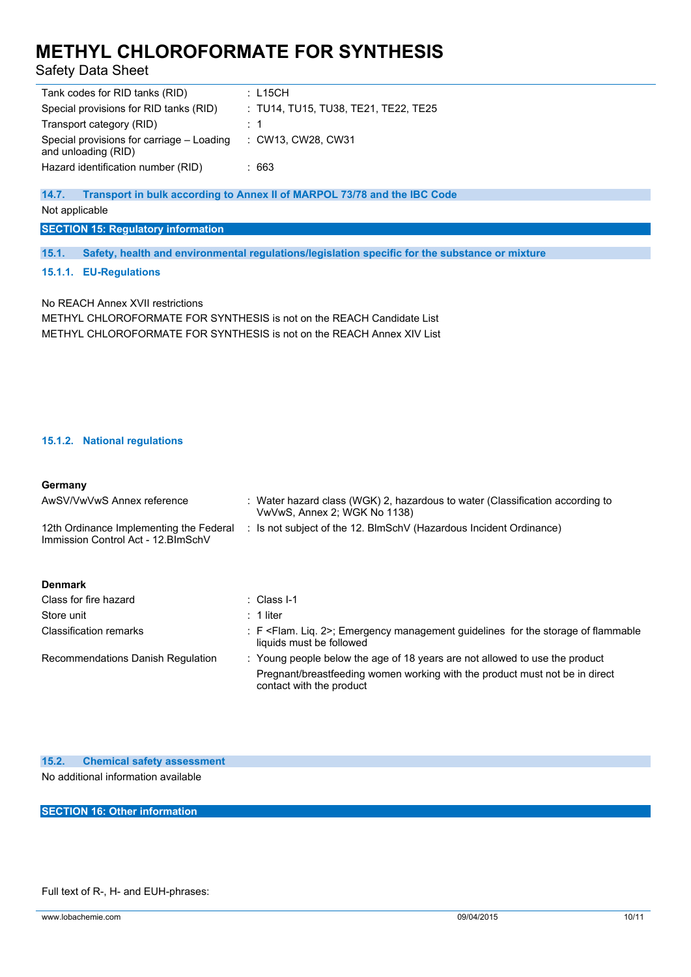Safety Data Sheet

| Tank codes for RID tanks (RID)                                   | :L15CH                               |
|------------------------------------------------------------------|--------------------------------------|
| Special provisions for RID tanks (RID)                           | : TU14, TU15, TU38, TE21, TE22, TE25 |
| Transport category (RID)                                         | : 1                                  |
| Special provisions for carriage – Loading<br>and unloading (RID) | : CW13, CW28, CW31                   |
| Hazard identification number (RID)                               | : 663                                |

## **14.7. Transport in bulk according to Annex II of MARPOL 73/78 and the IBC Code**

Not applicable

**SECTION 15: Regulatory information**

**15.1. Safety, health and environmental regulations/legislation specific for the substance or mixture**

### **15.1.1. EU-Regulations**

No REACH Annex XVII restrictions METHYL CHLOROFORMATE FOR SYNTHESIS is not on the REACH Candidate List METHYL CHLOROFORMATE FOR SYNTHESIS is not on the REACH Annex XIV List

## **15.1.2. National regulations**

#### **Germany**

| AwSV/VwVwS Annex reference                                                     | : Water hazard class (WGK) 2, hazardous to water (Classification according to<br>VwVwS, Annex 2; WGK No 1138)                                                                          |
|--------------------------------------------------------------------------------|----------------------------------------------------------------------------------------------------------------------------------------------------------------------------------------|
| 12th Ordinance Implementing the Federal<br>Immission Control Act - 12. BlmSchV | : Is not subject of the 12. BlmSchV (Hazardous Incident Ordinance)                                                                                                                     |
| <b>Denmark</b>                                                                 |                                                                                                                                                                                        |
| Class for fire hazard                                                          | : Class I-1                                                                                                                                                                            |
| Store unit                                                                     | $: 1$ liter                                                                                                                                                                            |
| Classification remarks                                                         | $\pm$ F <flam. 2="" lig.="">: Emergency management quidelines for the storage of flammable<br/>liquids must be followed</flam.>                                                        |
| Recommendations Danish Regulation                                              | : Young people below the age of 18 years are not allowed to use the product<br>Pregnant/breastfeeding women working with the product must not be in direct<br>contact with the product |
|                                                                                |                                                                                                                                                                                        |

| 15.2. |  | <b>Chemical safety assessment</b> |  |
|-------|--|-----------------------------------|--|
|       |  |                                   |  |

No additional information available

**SECTION 16: Other information**